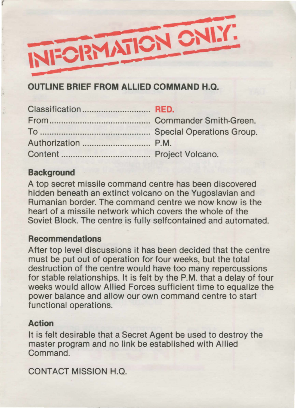

# **OUTLINE BRIEF FROM ALLIED COMMAND H.Q.**

## **Background**

(

A top secret missile command centre has been discovered hidden beneath an extinct volcano on the Yugoslavian and Rumanian border. The command centre we now know is the heart of a missile network which covers the whole of the Soviet Block. The centre is fully selfcontained and automated.

### **Recommendations**

After top level discussions it has been decided that the centre must be put out of operation for four weeks, but the total destruction of the centre would have too many repercussions for stable relationships. It is felt by the P.M. that a delay of four weeks would allow Allied Forces sufficient time to equalize the power balance and allow our own command centre to start functional operations.

### **Action**

It is felt desirable that a Secret Agent be used to destroy the master program and no link be established with Allied Command.

CONTACT MISSION H.Q.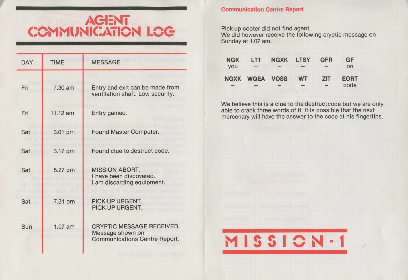# **1\Gl:Ni**  COMMUNICATION LOG

| <b>DAY</b> | <b>TIME</b> | <b>MESSAGE</b>                                                                               |  |  |
|------------|-------------|----------------------------------------------------------------------------------------------|--|--|
| Fri        | 7.30 am     | Entry and exit can be made from<br>ventilation shaft. Low security.                          |  |  |
| Fri        | 11.12 am    | Entry gained.                                                                                |  |  |
| Sat        | 3.01 pm     | Found Master Computer.                                                                       |  |  |
| Sat        | 3.17 pm     | Found clue to destruct code.                                                                 |  |  |
| Sat        | 5.27 pm     | <b>MISSION ABORT.</b><br>I have been discovered.<br>I am discarding equipment.               |  |  |
| Sat        | 7.31 pm     | PICK-UP URGENT.<br>PICK-UP URGENT.                                                           |  |  |
| Sun        | $1.07$ am   | <b>CRYPTIC MESSAGE RECEIVED.</b><br>Message shown on<br><b>Communications Centre Report.</b> |  |  |

## **Communication Centre Report**

Pick-up copter did not find agent.

We did however receive the following cryptic message on Sunday at 1.07 am.

| <b>NGK</b> | LTT                   | NGXK LTSY |           | <b>QFR</b> | GF          |
|------------|-----------------------|-----------|-----------|------------|-------------|
| <b>vou</b> |                       |           |           |            | on          |
|            | <b>NGXK WQEA VOSS</b> |           | <b>WT</b> | <b>ZIT</b> | <b>EORT</b> |
|            |                       |           |           |            | code        |

We believe this is a clue to the destruct code but we are only able to crack three words of it. It is possible that the next mercenary will have the answer to the code at his fingertips.